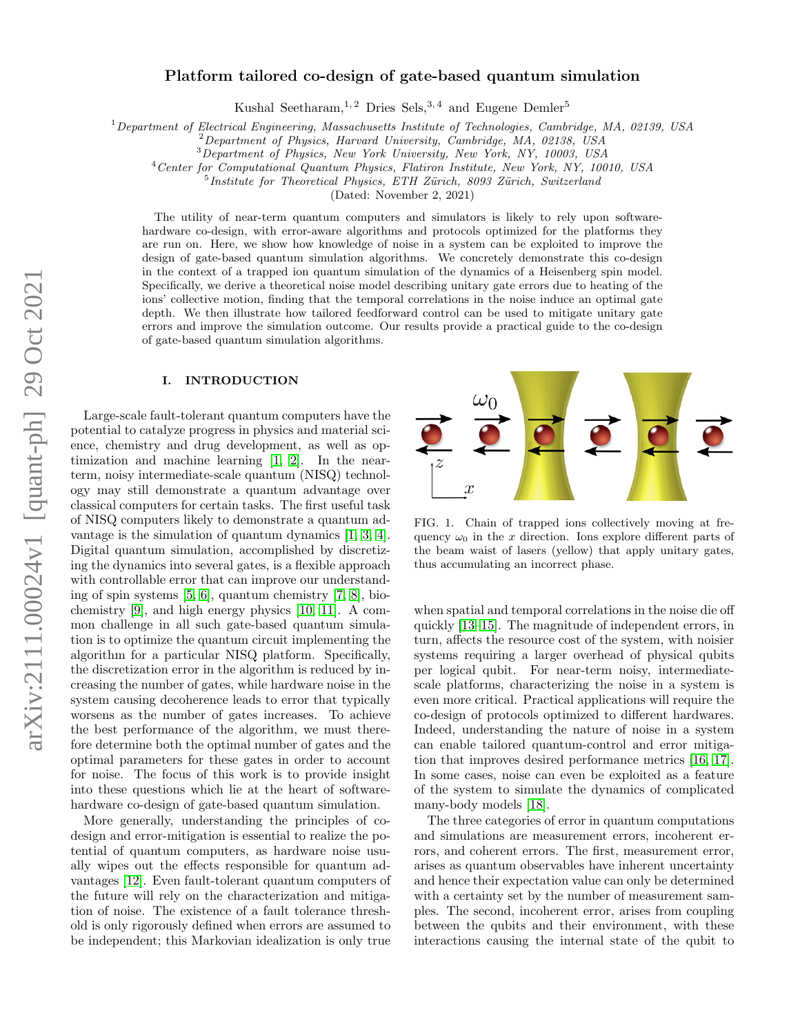# Platform tailored co-design of gate-based quantum simulation

Kushal Seetharam,<sup>1,2</sup> Dries Sels,<sup>3,4</sup> and Eugene Demler<sup>5</sup>

 $1$ Department of Electrical Engineering, Massachusetts Institute of Technologies, Cambridge, MA, 02139, USA

<sup>2</sup>Department of Physics, Harvard University, Cambridge, MA, 02138, USA

<sup>3</sup>Department of Physics, New York University, New York, NY, 10003, USA

<sup>4</sup>Center for Computational Quantum Physics, Flatiron Institute, New York, NY, 10010, USA

<sup>5</sup>Institute for Theoretical Physics, ETH Zürich, 8093 Zürich, Switzerland

(Dated: November 2, 2021)

The utility of near-term quantum computers and simulators is likely to rely upon softwarehardware co-design, with error-aware algorithms and protocols optimized for the platforms they are run on. Here, we show how knowledge of noise in a system can be exploited to improve the design of gate-based quantum simulation algorithms. We concretely demonstrate this co-design in the context of a trapped ion quantum simulation of the dynamics of a Heisenberg spin model. Specifically, we derive a theoretical noise model describing unitary gate errors due to heating of the ions' collective motion, finding that the temporal correlations in the noise induce an optimal gate depth. We then illustrate how tailored feedforward control can be used to mitigate unitary gate errors and improve the simulation outcome. Our results provide a practical guide to the co-design of gate-based quantum simulation algorithms.

## I. INTRODUCTION

Large-scale fault-tolerant quantum computers have the potential to catalyze progress in physics and material science, chemistry and drug development, as well as optimization and machine learning [\[1,](#page-11-0) [2\]](#page-11-1). In the nearterm, noisy intermediate-scale quantum (NISQ) technology may still demonstrate a quantum advantage over classical computers for certain tasks. The first useful task of NISQ computers likely to demonstrate a quantum advantage is the simulation of quantum dynamics [\[1,](#page-11-0) [3,](#page-11-2) [4\]](#page-11-3). Digital quantum simulation, accomplished by discretizing the dynamics into several gates, is a flexible approach with controllable error that can improve our understanding of spin systems [\[5,](#page-11-4) [6\]](#page-11-5), quantum chemistry [\[7,](#page-11-6) [8\]](#page-11-7), biochemistry [\[9\]](#page-11-8), and high energy physics [\[10,](#page-11-9) [11\]](#page-11-10). A common challenge in all such gate-based quantum simulation is to optimize the quantum circuit implementing the algorithm for a particular NISQ platform. Specifically, the discretization error in the algorithm is reduced by increasing the number of gates, while hardware noise in the system causing decoherence leads to error that typically worsens as the number of gates increases. To achieve the best performance of the algorithm, we must therefore determine both the optimal number of gates and the optimal parameters for these gates in order to account for noise. The focus of this work is to provide insight into these questions which lie at the heart of softwarehardware co-design of gate-based quantum simulation.

More generally, understanding the principles of codesign and error-mitigation is essential to realize the potential of quantum computers, as hardware noise usually wipes out the effects responsible for quantum advantages [\[12\]](#page-11-11). Even fault-tolerant quantum computers of the future will rely on the characterization and mitigation of noise. The existence of a fault tolerance threshold is only rigorously defined when errors are assumed to be independent; this Markovian idealization is only true



<span id="page-0-0"></span>FIG. 1. Chain of trapped ions collectively moving at frequency  $\omega_0$  in the x direction. Ions explore different parts of the beam waist of lasers (yellow) that apply unitary gates, thus accumulating an incorrect phase.

when spatial and temporal correlations in the noise die off quickly [\[13](#page-11-12)[–15\]](#page-11-13). The magnitude of independent errors, in turn, affects the resource cost of the system, with noisier systems requiring a larger overhead of physical qubits per logical qubit. For near-term noisy, intermediatescale platforms, characterizing the noise in a system is even more critical. Practical applications will require the co-design of protocols optimized to different hardwares. Indeed, understanding the nature of noise in a system can enable tailored quantum-control and error mitigation that improves desired performance metrics [\[16,](#page-11-14) [17\]](#page-11-15). In some cases, noise can even be exploited as a feature of the system to simulate the dynamics of complicated many-body models [\[18\]](#page-11-16).

The three categories of error in quantum computations and simulations are measurement errors, incoherent errors, and coherent errors. The first, measurement error, arises as quantum observables have inherent uncertainty and hence their expectation value can only be determined with a certainty set by the number of measurement samples. The second, incoherent error, arises from coupling between the qubits and their environment, with these interactions causing the internal state of the qubit to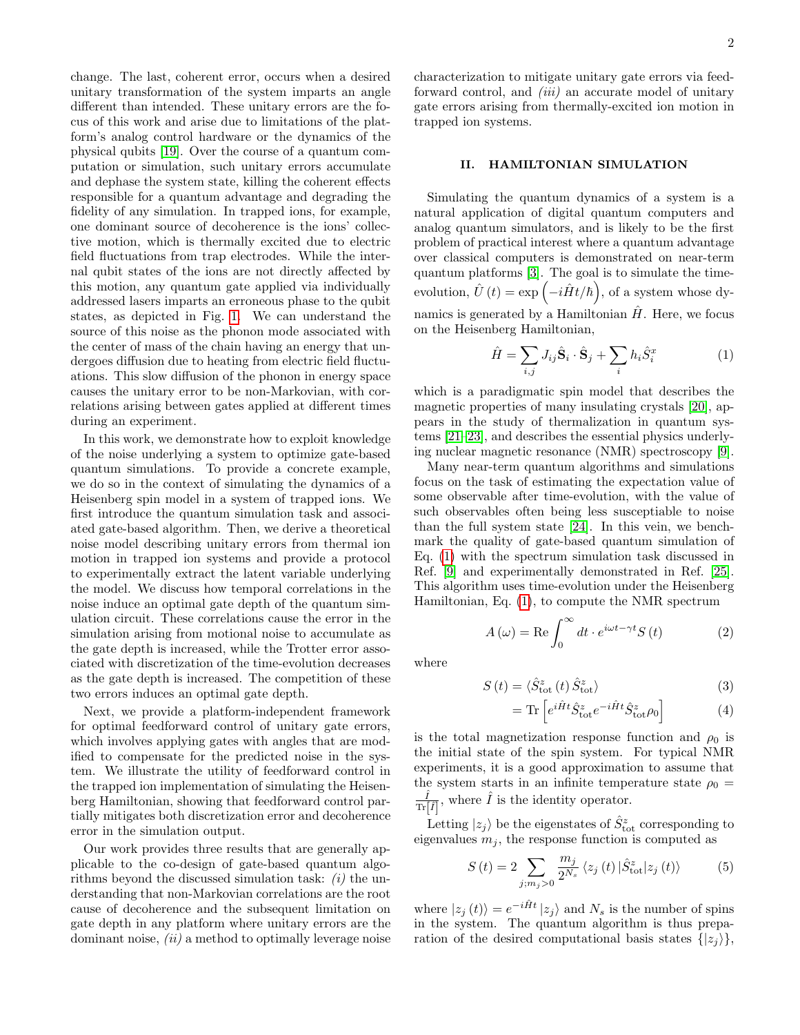change. The last, coherent error, occurs when a desired unitary transformation of the system imparts an angle different than intended. These unitary errors are the focus of this work and arise due to limitations of the platform's analog control hardware or the dynamics of the physical qubits [\[19\]](#page-11-17). Over the course of a quantum computation or simulation, such unitary errors accumulate and dephase the system state, killing the coherent effects responsible for a quantum advantage and degrading the fidelity of any simulation. In trapped ions, for example, one dominant source of decoherence is the ions' collective motion, which is thermally excited due to electric field fluctuations from trap electrodes. While the internal qubit states of the ions are not directly affected by this motion, any quantum gate applied via individually addressed lasers imparts an erroneous phase to the qubit states, as depicted in Fig. [1.](#page-0-0) We can understand the source of this noise as the phonon mode associated with the center of mass of the chain having an energy that undergoes diffusion due to heating from electric field fluctuations. This slow diffusion of the phonon in energy space causes the unitary error to be non-Markovian, with correlations arising between gates applied at different times during an experiment.

In this work, we demonstrate how to exploit knowledge of the noise underlying a system to optimize gate-based quantum simulations. To provide a concrete example, we do so in the context of simulating the dynamics of a Heisenberg spin model in a system of trapped ions. We first introduce the quantum simulation task and associated gate-based algorithm. Then, we derive a theoretical noise model describing unitary errors from thermal ion motion in trapped ion systems and provide a protocol to experimentally extract the latent variable underlying the model. We discuss how temporal correlations in the noise induce an optimal gate depth of the quantum simulation circuit. These correlations cause the error in the simulation arising from motional noise to accumulate as the gate depth is increased, while the Trotter error associated with discretization of the time-evolution decreases as the gate depth is increased. The competition of these two errors induces an optimal gate depth.

Next, we provide a platform-independent framework for optimal feedforward control of unitary gate errors, which involves applying gates with angles that are modified to compensate for the predicted noise in the system. We illustrate the utility of feedforward control in the trapped ion implementation of simulating the Heisenberg Hamiltonian, showing that feedforward control partially mitigates both discretization error and decoherence error in the simulation output.

Our work provides three results that are generally applicable to the co-design of gate-based quantum algorithms beyond the discussed simulation task:  $(i)$  the understanding that non-Markovian correlations are the root cause of decoherence and the subsequent limitation on gate depth in any platform where unitary errors are the dominant noise,  $(ii)$  a method to optimally leverage noise

characterization to mitigate unitary gate errors via feedforward control, and *(iii)* an accurate model of unitary gate errors arising from thermally-excited ion motion in trapped ion systems.

## <span id="page-1-1"></span>II. HAMILTONIAN SIMULATION

Simulating the quantum dynamics of a system is a natural application of digital quantum computers and analog quantum simulators, and is likely to be the first problem of practical interest where a quantum advantage over classical computers is demonstrated on near-term quantum platforms [\[3\]](#page-11-2). The goal is to simulate the timeevolution,  $\hat{U}(t) = \exp\left(-i\hat{H}t/\hbar\right)$ , of a system whose dynamics is generated by a Hamiltonian  $\hat{H}$ . Here, we focus on the Heisenberg Hamiltonian,

<span id="page-1-0"></span>
$$
\hat{H} = \sum_{i,j} J_{ij} \hat{\mathbf{S}}_i \cdot \hat{\mathbf{S}}_j + \sum_i h_i \hat{S}_i^x \tag{1}
$$

which is a paradigmatic spin model that describes the magnetic properties of many insulating crystals [\[20\]](#page-11-18), appears in the study of thermalization in quantum systems [\[21–](#page-11-19)[23\]](#page-11-20), and describes the essential physics underlying nuclear magnetic resonance (NMR) spectroscopy [\[9\]](#page-11-8).

Many near-term quantum algorithms and simulations focus on the task of estimating the expectation value of some observable after time-evolution, with the value of such observables often being less susceptiable to noise than the full system state [\[24\]](#page-11-21). In this vein, we benchmark the quality of gate-based quantum simulation of Eq. [\(1\)](#page-1-0) with the spectrum simulation task discussed in Ref. [\[9\]](#page-11-8) and experimentally demonstrated in Ref. [\[25\]](#page-11-22). This algorithm uses time-evolution under the Heisenberg Hamiltonian, Eq. [\(1\)](#page-1-0), to compute the NMR spectrum

<span id="page-1-3"></span>
$$
A(\omega) = \text{Re}\int_0^\infty dt \cdot e^{i\omega t - \gamma t} S(t)
$$
 (2)

where

$$
S\left(t\right) = \langle \hat{S}_{\text{tot}}^{z}\left(t\right) \hat{S}_{\text{tot}}^{z}\rangle\tag{3}
$$

$$
= \text{Tr}\left[e^{i\hat{H}t}\hat{S}_{\text{tot}}^{z}e^{-i\hat{H}t}\hat{S}_{\text{tot}}^{z}\rho_{0}\right]
$$
(4)

is the total magnetization response function and  $\rho_0$  is the initial state of the spin system. For typical NMR experiments, it is a good approximation to assume that the system starts in an infinite temperature state  $\rho_0 =$  $\hat{I}$  $\frac{\hat{I}}{\text{Tr}[\hat{I}]}$ , where  $\hat{I}$  is the identity operator.

Letting  $|z_j\rangle$  be the eigenstates of  $\hat{S}^z_{\text{tot}}$  corresponding to eigenvalues  $m_j$ , the response function is computed as

<span id="page-1-2"></span>
$$
S\left(t\right) = 2 \sum_{j;m_j>0} \frac{m_j}{2^{N_s}} \left\langle z_j\left(t\right) | \hat{S}_{\text{tot}}^z | z_j\left(t\right) \right\rangle \tag{5}
$$

where  $|z_j(t)\rangle = e^{-i\hat{H}t} |z_j\rangle$  and  $N_s$  is the number of spins in the system. The quantum algorithm is thus preparation of the desired computational basis states  $\{|z_i\rangle\},\$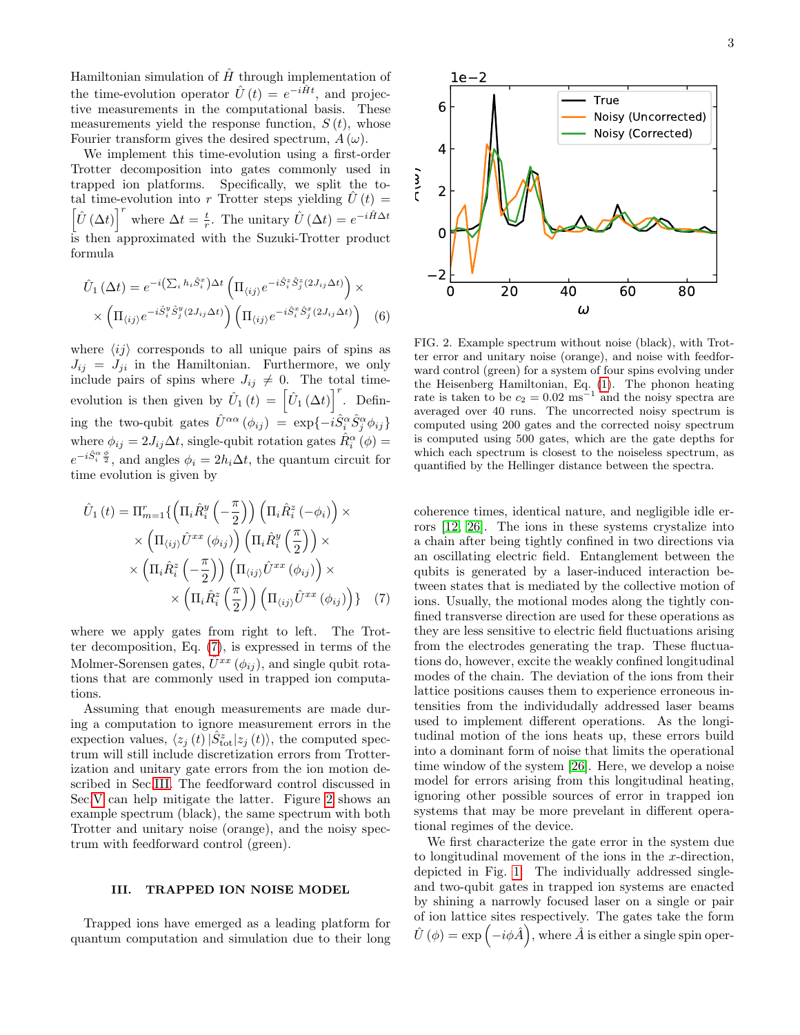Hamiltonian simulation of  $\hat{H}$  through implementation of the time-evolution operator  $\hat{U}(t) = e^{-i\hat{H}t}$ , and projective measurements in the computational basis. These measurements yield the response function,  $S(t)$ , whose Fourier transform gives the desired spectrum,  $A(\omega)$ .

We implement this time-evolution using a first-order Trotter decomposition into gates commonly used in trapped ion platforms. Specifically, we split the total time-evolution into r Trotter steps yielding  $\hat{U}(t)$  =  $\left[\hat{U}(\Delta t)\right]^r$  where  $\Delta t = \frac{t}{r}$ . The unitary  $\hat{U}(\Delta t) = e^{-i\hat{H}\Delta t}$ is then approximated with the Suzuki-Trotter product formula

$$
\hat{U}_1(\Delta t) = e^{-i\left(\sum_i h_i \hat{S}_i^x\right)\Delta t} \left(\Pi_{\langle ij\rangle} e^{-i\hat{S}_i^x \hat{S}_j^x (2J_{ij}\Delta t)}\right) \times \times \left(\Pi_{\langle ij\rangle} e^{-i\hat{S}_i^y \hat{S}_j^y (2J_{ij}\Delta t)}\right) \left(\Pi_{\langle ij\rangle} e^{-i\hat{S}_i^x \hat{S}_j^x (2J_{ij}\Delta t)}\right)
$$
(6)

where  $\langle ij \rangle$  corresponds to all unique pairs of spins as  $J_{ij} = J_{ji}$  in the Hamiltonian. Furthermore, we only include pairs of spins where  $J_{ij} \neq 0$ . The total timeevolution is then given by  $\hat{U}_1(t) = \left[\hat{U}_1(\Delta t)\right]^r$ . Defining the two-qubit gates  $\hat{U}^{\alpha\alpha}(\phi_{ij}) = \exp\{-i\hat{S}^{\alpha}_i\hat{S}^{\alpha}_j\phi_{ij}\}\$ where  $\phi_{ij} = 2J_{ij}\Delta t$ , single-qubit rotation gates  $\hat{R}_{i}^{\alpha}(\phi) =$  $e^{-i\hat{S}_i^{\alpha}\frac{\phi}{2}}$ , and angles  $\phi_i = 2h_i\Delta t$ , the quantum circuit for time evolution is given by

$$
\hat{U}_{1}(t) = \Pi_{m=1}^{r} \{ \left( \Pi_{i} \hat{R}_{i}^{y} \left( -\frac{\pi}{2} \right) \right) \left( \Pi_{i} \hat{R}_{i}^{z} \left( -\phi_{i} \right) \right) \times \times \left( \Pi_{\langle ij \rangle} \hat{U}^{xx} \left( \phi_{ij} \right) \right) \left( \Pi_{i} \hat{R}_{i}^{y} \left( \frac{\pi}{2} \right) \right) \times \times \left( \Pi_{i} \hat{R}_{i}^{z} \left( -\frac{\pi}{2} \right) \right) \left( \Pi_{\langle ij \rangle} \hat{U}^{xx} \left( \phi_{ij} \right) \right) \times \times \left( \Pi_{i} \hat{R}_{i}^{z} \left( \frac{\pi}{2} \right) \right) \left( \Pi_{\langle ij \rangle} \hat{U}^{xx} \left( \phi_{ij} \right) \right) \} \quad (7)
$$

where we apply gates from right to left. The Trotter decomposition, Eq. [\(7\)](#page-2-0), is expressed in terms of the Molmer-Sorensen gates,  $\hat{U}^{xx}(\phi_{ij})$ , and single qubit rotations that are commonly used in trapped ion computations.

Assuming that enough measurements are made during a computation to ignore measurement errors in the expection values,  $\langle z_j (t) | \hat{S}_{\text{tot}}^z | z_j (t) \rangle$ , the computed spectrum will still include discretization errors from Trotterization and unitary gate errors from the ion motion described in Sec[.III.](#page-2-1) The feedforward control discussed in Sec[.V](#page-6-0) can help mitigate the latter. Figure [2](#page-2-2) shows an example spectrum (black), the same spectrum with both Trotter and unitary noise (orange), and the noisy spectrum with feedforward control (green).

## <span id="page-2-1"></span>III. TRAPPED ION NOISE MODEL

Trapped ions have emerged as a leading platform for quantum computation and simulation due to their long



<span id="page-2-2"></span>FIG. 2. Example spectrum without noise (black), with Trotter error and unitary noise (orange), and noise with feedforward control (green) for a system of four spins evolving under the Heisenberg Hamiltonian, Eq. [\(1\)](#page-1-0). The phonon heating rate is taken to be  $c_2 = 0.02 \text{ ms}^{-1}$  and the noisy spectra are averaged over 40 runs. The uncorrected noisy spectrum is computed using 200 gates and the corrected noisy spectrum is computed using 500 gates, which are the gate depths for which each spectrum is closest to the noiseless spectrum, as quantified by the Hellinger distance between the spectra.

<span id="page-2-0"></span>coherence times, identical nature, and negligible idle errors [\[12,](#page-11-11) [26\]](#page-11-23). The ions in these systems crystalize into a chain after being tightly confined in two directions via an oscillating electric field. Entanglement between the qubits is generated by a laser-induced interaction between states that is mediated by the collective motion of ions. Usually, the motional modes along the tightly confined transverse direction are used for these operations as they are less sensitive to electric field fluctuations arising from the electrodes generating the trap. These fluctuations do, however, excite the weakly confined longitudinal modes of the chain. The deviation of the ions from their lattice positions causes them to experience erroneous intensities from the individudally addressed laser beams used to implement different operations. As the longitudinal motion of the ions heats up, these errors build into a dominant form of noise that limits the operational time window of the system [\[26\]](#page-11-23). Here, we develop a noise model for errors arising from this longitudinal heating, ignoring other possible sources of error in trapped ion systems that may be more prevelant in different operational regimes of the device.

We first characterize the gate error in the system due to longitudinal movement of the ions in the  $x$ -direction, depicted in Fig. [1.](#page-0-0) The individually addressed singleand two-qubit gates in trapped ion systems are enacted by shining a narrowly focused laser on a single or pair of ion lattice sites respectively. The gates take the form  $\hat{U}\left(\phi\right) = \exp\left(-i\phi\hat{A}\right)$ , where  $\hat{A}$  is either a single spin oper-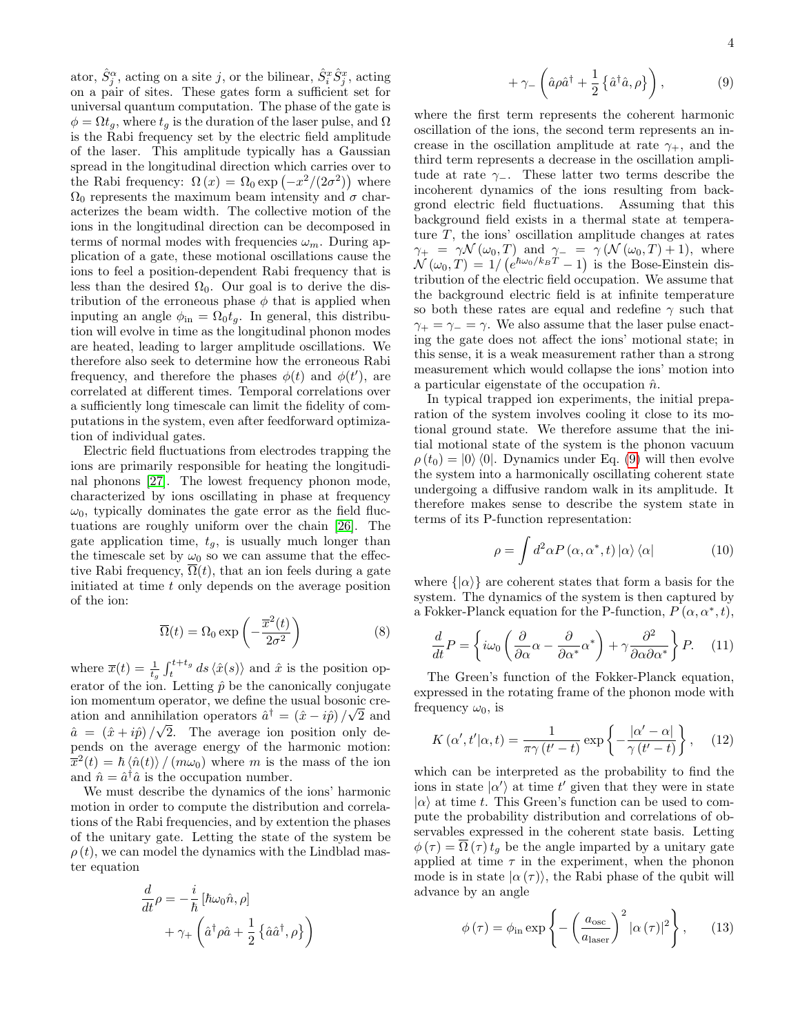ator,  $\hat{S}_j^{\alpha}$ , acting on a site j, or the bilinear,  $\hat{S}_i^x \hat{S}_j^x$ , acting on a pair of sites. These gates form a sufficient set for universal quantum computation. The phase of the gate is  $\phi = \Omega t_g$ , where  $t_g$  is the duration of the laser pulse, and  $\Omega$ is the Rabi frequency set by the electric field amplitude of the laser. This amplitude typically has a Gaussian spread in the longitudinal direction which carries over to the Rabi frequency:  $\Omega(x) = \Omega_0 \exp(-x^2/(2\sigma^2))$  where  $\Omega_0$  represents the maximum beam intensity and  $\sigma$  characterizes the beam width. The collective motion of the ions in the longitudinal direction can be decomposed in terms of normal modes with frequencies  $\omega_m$ . During application of a gate, these motional oscillations cause the ions to feel a position-dependent Rabi frequency that is less than the desired  $\Omega_0$ . Our goal is to derive the distribution of the erroneous phase  $\phi$  that is applied when inputing an angle  $\phi_{\text{in}} = \Omega_0 t_g$ . In general, this distribution will evolve in time as the longitudinal phonon modes are heated, leading to larger amplitude oscillations. We therefore also seek to determine how the erroneous Rabi frequency, and therefore the phases  $\phi(t)$  and  $\phi(t')$ , are correlated at different times. Temporal correlations over a sufficiently long timescale can limit the fidelity of computations in the system, even after feedforward optimization of individual gates.

Electric field fluctuations from electrodes trapping the ions are primarily responsible for heating the longitudinal phonons [\[27\]](#page-11-24). The lowest frequency phonon mode, characterized by ions oscillating in phase at frequency  $\omega_0$ , typically dominates the gate error as the field fluctuations are roughly uniform over the chain [\[26\]](#page-11-23). The gate application time,  $t_q$ , is usually much longer than the timescale set by  $\omega_0$  so we can assume that the effective Rabi frequency,  $\overline{\Omega}(t)$ , that an ion feels during a gate initiated at time t only depends on the average position of the ion:

$$
\overline{\Omega}(t) = \Omega_0 \exp\left(-\frac{\overline{x}^2(t)}{2\sigma^2}\right) \tag{8}
$$

where  $\overline{x}(t) = \frac{1}{t_g} \int_t^{t+t_g} ds \langle \hat{x}(s) \rangle$  and  $\hat{x}$  is the position operator of the ion. Letting  $\hat{p}$  be the canonically conjugate ion momentum operator, we define the usual bosonic creation and annihilation operators  $\hat{a}^{\dagger} = (\hat{x} - i\hat{p})/\sqrt{2}$  and  $\hat{a} = (\hat{x} + i\hat{p})/\sqrt{2}$ . The average ion position only depends on the average energy of the harmonic motion:  $\bar{x}^2(t) = \hbar \langle \hat{n}(t) \rangle / (m \omega_0)$  where m is the mass of the ion and  $\hat{n} = \hat{a}^\dagger \hat{a}$  is the occupation number.

We must describe the dynamics of the ions' harmonic motion in order to compute the distribution and correlations of the Rabi frequencies, and by extention the phases of the unitary gate. Letting the state of the system be  $\rho(t)$ , we can model the dynamics with the Lindblad master equation

$$
\frac{d}{dt}\rho = -\frac{i}{\hbar} \left[ \hbar \omega_0 \hat{n}, \rho \right] \n+ \gamma_+ \left( \hat{a}^\dagger \rho \hat{a} + \frac{1}{2} \left\{ \hat{a} \hat{a}^\dagger, \rho \right\} \right)
$$

<span id="page-3-0"></span>
$$
+\gamma_{-}\left(\hat{a}\rho\hat{a}^{\dagger}+\frac{1}{2}\left\{\hat{a}^{\dagger}\hat{a},\rho\right\}\right),\tag{9}
$$

where the first term represents the coherent harmonic oscillation of the ions, the second term represents an increase in the oscillation amplitude at rate  $\gamma_{+}$ , and the third term represents a decrease in the oscillation amplitude at rate  $\gamma_-\$ . These latter two terms describe the incoherent dynamics of the ions resulting from backgrond electric field fluctuations. Assuming that this background field exists in a thermal state at temperature  $T$ , the ions' oscillation amplitude changes at rates  $\gamma_+ = \gamma \mathcal{N}(\omega_0, T)$  and  $\gamma_- = \gamma \left(\mathcal{N}(\omega_0, T) + 1\right)$ , where  $\mathcal{N}(\omega_0, T) = 1/(e^{\hbar \omega_0/k_B T} - 1)$  is the Bose-Einstein distribution of the electric field occupation. We assume that the background electric field is at infinite temperature so both these rates are equal and redefine  $\gamma$  such that  $\gamma_+ = \gamma_- = \gamma$ . We also assume that the laser pulse enacting the gate does not affect the ions' motional state; in this sense, it is a weak measurement rather than a strong measurement which would collapse the ions' motion into a particular eigenstate of the occupation  $\hat{n}$ .

In typical trapped ion experiments, the initial preparation of the system involves cooling it close to its motional ground state. We therefore assume that the initial motional state of the system is the phonon vacuum  $\rho(t_0) = |0\rangle\langle 0|$ . Dynamics under Eq. [\(9\)](#page-3-0) will then evolve the system into a harmonically oscillating coherent state undergoing a diffusive random walk in its amplitude. It therefore makes sense to describe the system state in terms of its P-function representation:

$$
\rho = \int d^2\alpha P(\alpha, \alpha^*, t) |\alpha\rangle \langle \alpha|
$$
 (10)

where  $\{|\alpha\rangle\}$  are coherent states that form a basis for the system. The dynamics of the system is then captured by a Fokker-Planck equation for the P-function,  $P(\alpha, \alpha^*, t)$ ,

$$
\frac{d}{dt}P = \left\{ i\omega_0 \left( \frac{\partial}{\partial \alpha} \alpha - \frac{\partial}{\partial \alpha^*} \alpha^* \right) + \gamma \frac{\partial^2}{\partial \alpha \partial \alpha^*} \right\} P. \quad (11)
$$

The Green's function of the Fokker-Planck equation, expressed in the rotating frame of the phonon mode with frequency  $\omega_0$ , is

<span id="page-3-2"></span>
$$
K(\alpha', t'|\alpha, t) = \frac{1}{\pi \gamma (t'-t)} \exp\left\{-\frac{|\alpha'-\alpha|}{\gamma (t'-t)}\right\},\quad(12)
$$

which can be interpreted as the probability to find the ions in state  $|\alpha'\rangle$  at time t' given that they were in state  $|\alpha\rangle$  at time t. This Green's function can be used to compute the probability distribution and correlations of observables expressed in the coherent state basis. Letting  $\phi(\tau) = \overline{\Omega}(\tau) t_g$  be the angle imparted by a unitary gate applied at time  $\tau$  in the experiment, when the phonon mode is in state  $|\alpha(\tau)\rangle$ , the Rabi phase of the qubit will advance by an angle

<span id="page-3-1"></span>
$$
\phi(\tau) = \phi_{\rm in} \exp\left\{-\left(\frac{a_{\rm osc}}{a_{\rm laser}}\right)^2 |\alpha(\tau)|^2\right\},\qquad(13)
$$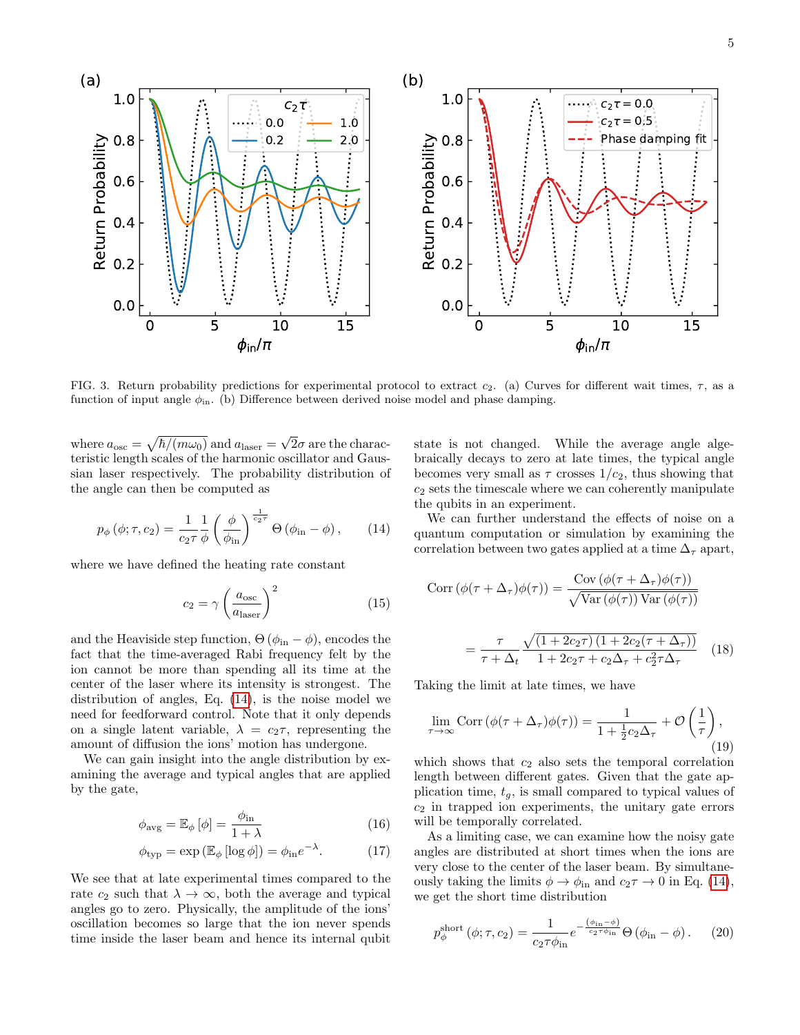5



<span id="page-4-2"></span>FIG. 3. Return probability predictions for experimental protocol to extract  $c_2$ . (a) Curves for different wait times,  $\tau$ , as a function of input angle  $\phi_{\text{in}}$ . (b) Difference between derived noise model and phase damping.

where  $a_{\rm osc} = \sqrt{\hbar/(m\omega_0)}$  and  $a_{\rm laser} = \sqrt{\frac{m\omega_0}{m}}$  $2\sigma$  are the characteristic length scales of the harmonic oscillator and Gaussian laser respectively. The probability distribution of the angle can then be computed as

<span id="page-4-0"></span>
$$
p_{\phi}\left(\phi;\tau,c_{2}\right) = \frac{1}{c_{2}\tau} \frac{1}{\phi} \left(\frac{\phi}{\phi_{\text{in}}}\right)^{\frac{1}{c_{2}\tau}} \Theta\left(\phi_{\text{in}} - \phi\right),\qquad(14)
$$

where we have defined the heating rate constant

$$
c_2 = \gamma \left(\frac{a_{\text{osc}}}{a_{\text{laser}}}\right)^2 \tag{15}
$$

and the Heaviside step function,  $\Theta$  ( $\phi_{\rm in} - \phi$ ), encodes the fact that the time-averaged Rabi frequency felt by the ion cannot be more than spending all its time at the center of the laser where its intensity is strongest. The distribution of angles, Eq. [\(14\)](#page-4-0), is the noise model we need for feedforward control. Note that it only depends on a single latent variable,  $\lambda = c_2 \tau$ , representing the amount of diffusion the ions' motion has undergone.

We can gain insight into the angle distribution by examining the average and typical angles that are applied by the gate,

$$
\phi_{\text{avg}} = \mathbb{E}_{\phi} \left[ \phi \right] = \frac{\phi_{\text{in}}}{1 + \lambda} \tag{16}
$$

$$
\phi_{\text{typ}} = \exp\left(\mathbb{E}_{\phi}\left[\log \phi\right]\right) = \phi_{\text{in}}e^{-\lambda}.\tag{17}
$$

We see that at late experimental times compared to the rate  $c_2$  such that  $\lambda \to \infty$ , both the average and typical angles go to zero. Physically, the amplitude of the ions' oscillation becomes so large that the ion never spends time inside the laser beam and hence its internal qubit state is not changed. While the average angle algebraically decays to zero at late times, the typical angle becomes very small as  $\tau$  crosses  $1/c_2$ , thus showing that  $c<sub>2</sub>$  sets the timescale where we can coherently manipulate the qubits in an experiment.

We can further understand the effects of noise on a quantum computation or simulation by examining the correlation between two gates applied at a time  $\Delta_{\tau}$  apart,

$$
Corr (\phi(\tau + \Delta_{\tau})\phi(\tau)) = \frac{Cov (\phi(\tau + \Delta_{\tau})\phi(\tau))}{\sqrt{Var (\phi(\tau)) Var (\phi(\tau))}}
$$

$$
= \frac{\tau}{\tau + \Delta_t} \frac{\sqrt{(1 + 2c_2\tau)(1 + 2c_2(\tau + \Delta_{\tau}))}}{1 + 2c_2\tau + c_2\Delta_{\tau} + c_2^2\tau\Delta_{\tau}}
$$
(18)

Taking the limit at late times, we have

$$
\lim_{\tau \to \infty} \text{Corr} \left( \phi(\tau + \Delta_{\tau}) \phi(\tau) \right) = \frac{1}{1 + \frac{1}{2} c_2 \Delta_{\tau}} + \mathcal{O} \left( \frac{1}{\tau} \right), \tag{19}
$$

which shows that  $c_2$  also sets the temporal correlation length between different gates. Given that the gate application time,  $t_q$ , is small compared to typical values of  $c_2$  in trapped ion experiments, the unitary gate errors will be temporally correlated.

As a limiting case, we can examine how the noisy gate angles are distributed at short times when the ions are very close to the center of the laser beam. By simultaneously taking the limits  $\phi \to \phi_{\rm in}$  and  $c_2 \tau \to 0$  in Eq. [\(14\)](#page-4-0), we get the short time distribution

<span id="page-4-1"></span>
$$
p_{\phi}^{\text{short}}\left(\phi;\tau,c_{2}\right) = \frac{1}{c_{2}\tau\phi_{\text{in}}}e^{-\frac{\left(\phi_{\text{in}}-\phi\right)}{c_{2}\tau\phi_{\text{in}}}}\Theta\left(\phi_{\text{in}}-\phi\right). \tag{20}
$$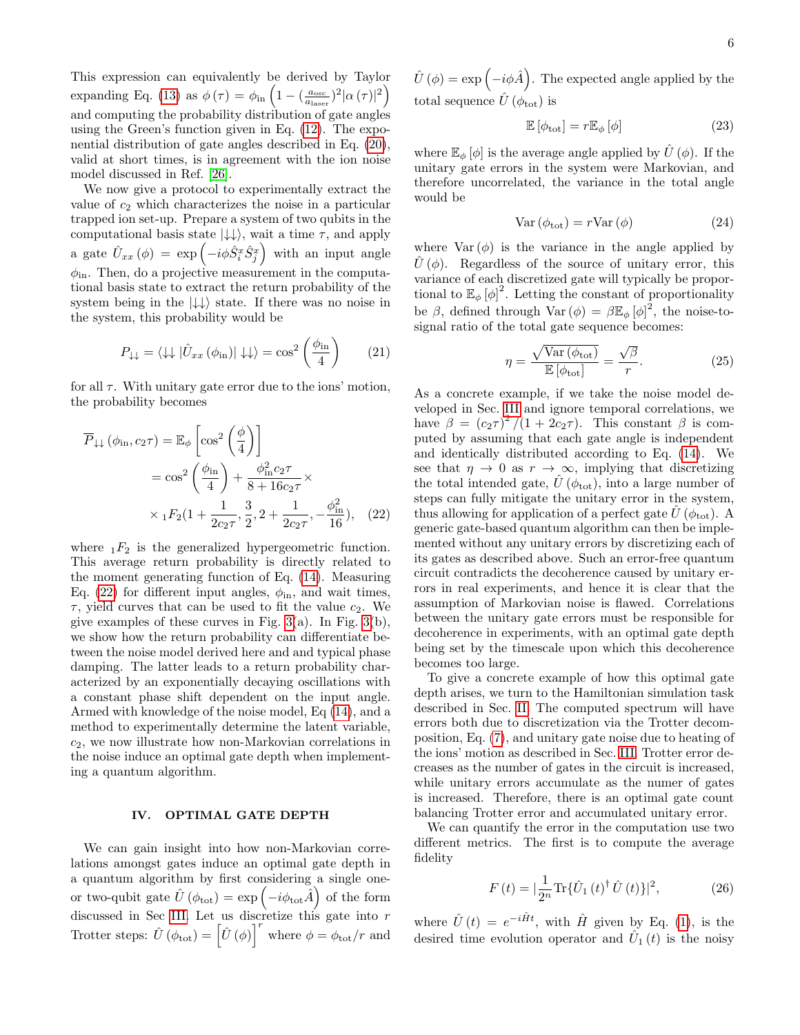This expression can equivalently be derived by Taylor expanding Eq. [\(13\)](#page-3-1) as  $\phi(\tau) = \phi_{\text{in}} \left( 1 - \left( \frac{a_{\text{osc}}}{a_{\text{laser}}} \right)^2 |\alpha(\tau)|^2 \right)$ and computing the probability distribution of gate angles using the Green's function given in Eq. [\(12\)](#page-3-2). The exponential distribution of gate angles described in Eq. [\(20\)](#page-4-1), valid at short times, is in agreement with the ion noise model discussed in Ref. [\[26\]](#page-11-23).

We now give a protocol to experimentally extract the value of  $c_2$  which characterizes the noise in a particular trapped ion set-up. Prepare a system of two qubits in the computational basis state  $|\downarrow\downarrow\rangle$ , wait a time  $\tau$ , and apply a gate  $\hat{U}_{xx}(\phi) = \exp \left(-i\phi \hat{S}_i^x \hat{S}_j^x\right)$  with an input angle  $\phi_{\rm in}$ . Then, do a projective measurement in the computational basis state to extract the return probability of the system being in the  $|\downarrow\downarrow\rangle$  state. If there was no noise in the system, this probability would be

$$
P_{\downarrow\downarrow} = \langle \downarrow \downarrow | \hat{U}_{xx} (\phi_{\rm in}) | \downarrow \downarrow \rangle = \cos^2 \left( \frac{\phi_{\rm in}}{4} \right) \qquad (21)
$$

for all  $\tau$ . With unitary gate error due to the ions' motion, the probability becomes

$$
\overline{P}_{\downarrow\downarrow}(\phi_{\rm in}, c_2\tau) = \mathbb{E}_{\phi} \left[ \cos^2 \left( \frac{\phi}{4} \right) \right]
$$
  
=  $\cos^2 \left( \frac{\phi_{\rm in}}{4} \right) + \frac{\phi_{\rm in}^2 c_2 \tau}{8 + 16c_2 \tau} \times$   
 $\times {}_1F_2(1 + \frac{1}{2c_2 \tau}, \frac{3}{2}, 2 + \frac{1}{2c_2 \tau}, -\frac{\phi_{\rm in}^2}{16}),$  (22)

where  $E_1F_2$  is the generalized hypergeometric function. This average return probability is directly related to the moment generating function of Eq. [\(14\)](#page-4-0). Measuring Eq. [\(22\)](#page-5-0) for different input angles,  $\phi_{\rm in}$ , and wait times,  $\tau$ , yield curves that can be used to fit the value  $c_2$ . We give examples of these curves in Fig.  $3(a)$ . In Fig.  $3(b)$ , we show how the return probability can differentiate between the noise model derived here and and typical phase damping. The latter leads to a return probability characterized by an exponentially decaying oscillations with a constant phase shift dependent on the input angle. Armed with knowledge of the noise model, Eq [\(14\)](#page-4-0), and a method to experimentally determine the latent variable,  $c_2$ , we now illustrate how non-Markovian correlations in the noise induce an optimal gate depth when implementing a quantum algorithm.

## IV. OPTIMAL GATE DEPTH

We can gain insight into how non-Markovian correlations amongst gates induce an optimal gate depth in a quantum algorithm by first considering a single oneor two-qubit gate  $\hat{U}(\phi_{\text{tot}}) = \exp\left(-i\phi_{\text{tot}}\hat{A}\right)$  of the form discussed in Sec [III.](#page-2-1) Let us discretize this gate into r Trotter steps:  $\hat{U}(\phi_{\text{tot}}) = \left[\hat{U}(\phi)\right]^r$  where  $\phi = \phi_{\text{tot}}/r$  and

 $\hat{U}(\phi) = \exp(-i\phi \hat{A})$ . The expected angle applied by the total sequence  $\hat{U}(\phi_{\text{tot}})$  is

$$
\mathbb{E}\left[\phi_{\text{tot}}\right] = r\mathbb{E}_{\phi}\left[\phi\right] \tag{23}
$$

where  $\mathbb{E}_{\phi}[\phi]$  is the average angle applied by  $\hat{U}(\phi)$ . If the unitary gate errors in the system were Markovian, and therefore uncorrelated, the variance in the total angle would be

$$
Var(\phi_{\text{tot}}) = rVar(\phi) \tag{24}
$$

where  $Var(\phi)$  is the variance in the angle applied by  $\hat{U}(\phi)$ . Regardless of the source of unitary error, this variance of each discretized gate will typically be proportional to  $\mathbb{E}_{\phi}[\phi]^2$ . Letting the constant of proportionality be  $\beta$ , defined through  $\text{Var}(\phi) = \beta \mathbb{E}_{\phi} [\phi]^2$ , the noise-tosignal ratio of the total gate sequence becomes:

$$
\eta = \frac{\sqrt{\text{Var}(\phi_{\text{tot}})}}{\mathbb{E}[\phi_{\text{tot}}]} = \frac{\sqrt{\beta}}{r}.
$$
 (25)

<span id="page-5-0"></span>As a concrete example, if we take the noise model developed in Sec. [III](#page-2-1) and ignore temporal correlations, we have  $\beta = (c_2 \tau)^2 / (1 + 2c_2 \tau)$ . This constant  $\beta$  is computed by assuming that each gate angle is independent and identically distributed according to Eq. [\(14\)](#page-4-0). We see that  $\eta \to 0$  as  $r \to \infty$ , implying that discretizing the total intended gate,  $\hat{U}(\phi_{\text{tot}})$ , into a large number of steps can fully mitigate the unitary error in the system, thus allowing for application of a perfect gate  $U(\phi_{\text{tot}})$ . A generic gate-based quantum algorithm can then be implemented without any unitary errors by discretizing each of its gates as described above. Such an error-free quantum circuit contradicts the decoherence caused by unitary errors in real experiments, and hence it is clear that the assumption of Markovian noise is flawed. Correlations between the unitary gate errors must be responsible for decoherence in experiments, with an optimal gate depth being set by the timescale upon which this decoherence becomes too large.

To give a concrete example of how this optimal gate depth arises, we turn to the Hamiltonian simulation task described in Sec. [II.](#page-1-1) The computed spectrum will have errors both due to discretization via the Trotter decomposition, Eq. [\(7\)](#page-2-0), and unitary gate noise due to heating of the ions' motion as described in Sec. [III.](#page-2-1) Trotter error decreases as the number of gates in the circuit is increased, while unitary errors accumulate as the numer of gates is increased. Therefore, there is an optimal gate count balancing Trotter error and accumulated unitary error.

We can quantify the error in the computation use two different metrics. The first is to compute the average fidelity

<span id="page-5-1"></span>
$$
F(t) = |\frac{1}{2^n} \text{Tr} \{ \hat{U}_1(t)^{\dagger} \hat{U}(t) \} |^2,
$$
 (26)

where  $\hat{U}(t) = e^{-i\hat{H}t}$ , with  $\hat{H}$  given by Eq. [\(1\)](#page-1-0), is the desired time evolution operator and  $\hat{U}_1(t)$  is the noisy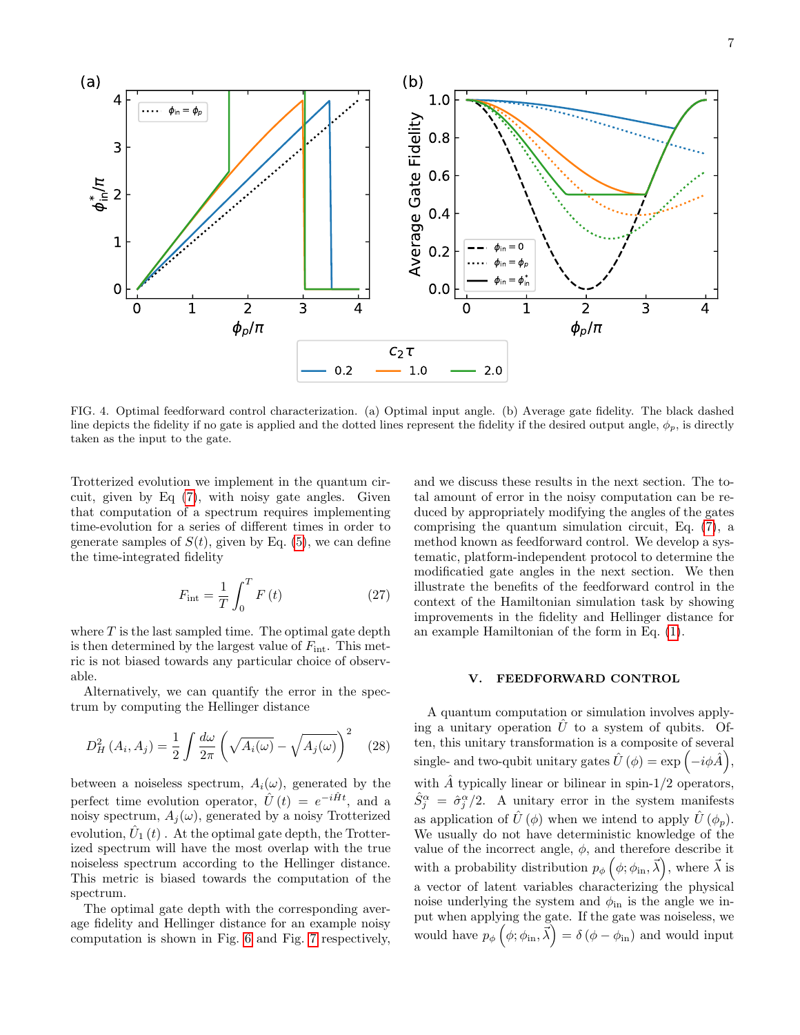

<span id="page-6-1"></span>FIG. 4. Optimal feedforward control characterization. (a) Optimal input angle. (b) Average gate fidelity. The black dashed line depicts the fidelity if no gate is applied and the dotted lines represent the fidelity if the desired output angle,  $\phi_p$ , is directly taken as the input to the gate.

Trotterized evolution we implement in the quantum circuit, given by Eq [\(7\)](#page-2-0), with noisy gate angles. Given that computation of a spectrum requires implementing time-evolution for a series of different times in order to generate samples of  $S(t)$ , given by Eq. [\(5\)](#page-1-2), we can define the time-integrated fidelity

<span id="page-6-2"></span>
$$
F_{\rm int} = \frac{1}{T} \int_0^T F(t) \tag{27}
$$

where  $T$  is the last sampled time. The optimal gate depth is then determined by the largest value of  $F_{\text{int}}$ . This metric is not biased towards any particular choice of observable.

Alternatively, we can quantify the error in the spectrum by computing the Hellinger distance

$$
D_H^2(A_i, A_j) = \frac{1}{2} \int \frac{d\omega}{2\pi} \left( \sqrt{A_i(\omega)} - \sqrt{A_j(\omega)} \right)^2 \quad (28)
$$

between a noiseless spectrum,  $A_i(\omega)$ , generated by the perfect time evolution operator,  $\hat{U}(t) = e^{-i\hat{H}t}$ , and a noisy spectrum,  $A_i(\omega)$ , generated by a noisy Trotterized evolution,  $\hat{U}_1(t)$  . At the optimal gate depth, the Trotterized spectrum will have the most overlap with the true noiseless spectrum according to the Hellinger distance. This metric is biased towards the computation of the spectrum.

The optimal gate depth with the corresponding average fidelity and Hellinger distance for an example noisy computation is shown in Fig. [6](#page-9-0) and Fig. [7](#page-9-1) respectively,

and we discuss these results in the next section. The total amount of error in the noisy computation can be reduced by appropriately modifying the angles of the gates comprising the quantum simulation circuit, Eq. [\(7\)](#page-2-0), a method known as feedforward control. We develop a systematic, platform-independent protocol to determine the modificatied gate angles in the next section. We then illustrate the benefits of the feedforward control in the context of the Hamiltonian simulation task by showing improvements in the fidelity and Hellinger distance for an example Hamiltonian of the form in Eq. [\(1\)](#page-1-0).

## <span id="page-6-0"></span>V. FEEDFORWARD CONTROL

A quantum computation or simulation involves applying a unitary operation  $\hat{U}$  to a system of qubits. Often, this unitary transformation is a composite of several single- and two-qubit unitary gates  $\hat{U}(\phi) = \exp(-i\phi \hat{A}),$ with  $\hat{A}$  typically linear or bilinear in spin-1/2 operators,  $\hat{S}_{j}^{\alpha} = \hat{\sigma}_{j}^{\alpha}/2$ . A unitary error in the system manifests as application of  $\hat{U}(\phi)$  when we intend to apply  $\hat{U}(\phi_p)$ . We usually do not have deterministic knowledge of the value of the incorrect angle,  $\phi$ , and therefore describe it with a probability distribution  $p_{\phi}(\phi; \phi_{\text{in}}, \vec{\lambda})$ , where  $\vec{\lambda}$  is a vector of latent variables characterizing the physical noise underlying the system and  $\phi_{\text{in}}$  is the angle we input when applying the gate. If the gate was noiseless, we would have  $p_{\phi}(\phi; \phi_{\text{in}}, \vec{\lambda}) = \delta(\phi - \phi_{\text{in}})$  and would input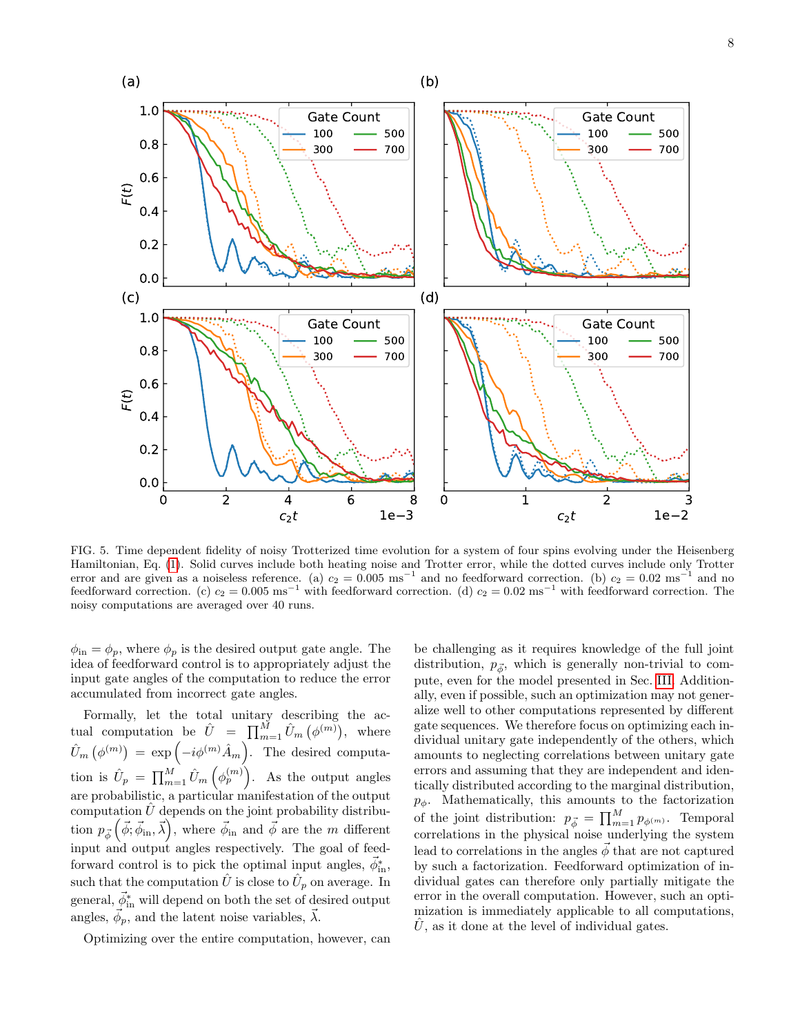

<span id="page-7-0"></span>FIG. 5. Time dependent fidelity of noisy Trotterized time evolution for a system of four spins evolving under the Heisenberg Hamiltonian, Eq. [\(1\)](#page-1-0). Solid curves include both heating noise and Trotter error, while the dotted curves include only Trotter error and are given as a noiseless reference. (a)  $c_2 = 0.005 \text{ ms}^{-1}$  and no feedforward correction. (b)  $c_2 = 0.02 \text{ ms}^{-1}$  and no feedforward correction. (c)  $c_2 = 0.005 \text{ ms}^{-1}$  with feedforward correction. (d)  $c_2 = 0.02 \text{ ms}^{-1}$  with feedforward correction. The noisy computations are averaged over 40 runs.

 $\phi_{\rm in} = \phi_p$ , where  $\phi_p$  is the desired output gate angle. The idea of feedforward control is to appropriately adjust the input gate angles of the computation to reduce the error accumulated from incorrect gate angles.

Formally, let the total unitary describing the actual computation be  $\hat{U} = \prod_{m=1}^{M} \hat{U}_m (\phi^{(m)})$ , where  $\hat{U}_m\left(\phi^{(m)}\right) = \exp\left(-i\phi^{(m)}\hat{A}_m\right)$ . The desired computation is  $\hat{U}_p = \prod_{m=1}^M \hat{U}_m \left( \phi_p^{(m)} \right)$ . As the output angles are probabilistic, a particular manifestation of the output computation  $\hat{U}$  depends on the joint probability distribution  $p_{\vec{\phi}}(\vec{\phi}; \vec{\phi}_{\text{in}}, \vec{\lambda}),$  where  $\vec{\phi}_{\text{in}}$  and  $\vec{\phi}$  are the m different input and output angles respectively. The goal of feedforward control is to pick the optimal input angles,  $\vec{\phi}_{\text{in}}^*$ , such that the computation  $\hat{U}$  is close to  $\hat{U}_p$  on average. In general,  $\vec{\phi}_{\rm in}^*$  will depend on both the set of desired output angles,  $\vec{\phi}_p$ , and the latent noise variables,  $\vec{\lambda}$ .

Optimizing over the entire computation, however, can

be challenging as it requires knowledge of the full joint distribution,  $p_{\vec{\phi}}$ , which is generally non-trivial to compute, even for the model presented in Sec. [III.](#page-2-1) Additionally, even if possible, such an optimization may not generalize well to other computations represented by different gate sequences. We therefore focus on optimizing each individual unitary gate independently of the others, which amounts to neglecting correlations between unitary gate errors and assuming that they are independent and identically distributed according to the marginal distribution,  $p_{\phi}$ . Mathematically, this amounts to the factorization of the joint distribution:  $p_{\vec{\phi}} = \prod_{m=1}^{M} p_{\phi^{(m)}}$ . Temporal correlations in the physical noise underlying the system lead to correlations in the angles  $\phi$  that are not captured by such a factorization. Feedforward optimization of individual gates can therefore only partially mitigate the error in the overall computation. However, such an optimization is immediately applicable to all computations,  $U$ , as it done at the level of individual gates.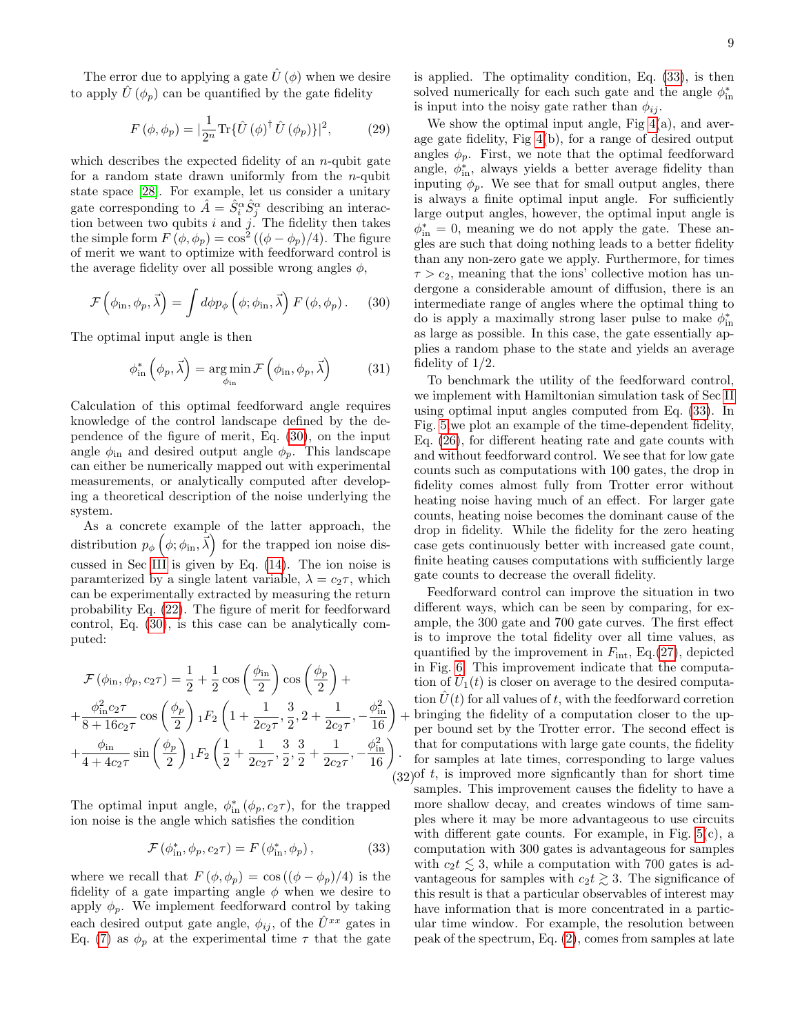The error due to applying a gate  $\hat{U}(\phi)$  when we desire to apply  $\hat{U}(\phi_p)$  can be quantified by the gate fidelity

$$
F(\phi, \phi_p) = |\frac{1}{2^n} \text{Tr} \{ \hat{U} (\phi)^\dagger \hat{U} (\phi_p) \}|^2, \quad (29)
$$

which describes the expected fidelity of an  $n$ -qubit gate for a random state drawn uniformly from the  $n$ -qubit state space [\[28\]](#page-11-25). For example, let us consider a unitary gate corresponding to  $\hat{A} = \hat{S}_i^{\alpha} \hat{S}_j^{\alpha}$  describing an interaction between two qubits  $i$  and  $j$ . The fidelity then takes the simple form  $F(\phi, \phi_p) = \cos^2((\phi - \phi_p)/4)$ . The figure of merit we want to optimize with feedforward control is the average fidelity over all possible wrong angles  $\phi$ ,

$$
\mathcal{F}\left(\phi_{\text{in}},\phi_{p},\vec{\lambda}\right) = \int d\phi p_{\phi}\left(\phi;\phi_{\text{in}},\vec{\lambda}\right) F\left(\phi,\phi_{p}\right). \tag{30}
$$

The optimal input angle is then

$$
\phi_{\text{in}}^{*}\left(\phi_{p}, \vec{\lambda}\right) = \underset{\phi_{\text{in}}}{\arg\min} \mathcal{F}\left(\phi_{\text{in}}, \phi_{p}, \vec{\lambda}\right) \tag{31}
$$

Calculation of this optimal feedforward angle requires knowledge of the control landscape defined by the dependence of the figure of merit, Eq. [\(30\)](#page-8-0), on the input angle  $\phi_{\text{in}}$  and desired output angle  $\phi_p$ . This landscape can either be numerically mapped out with experimental measurements, or analytically computed after developing a theoretical description of the noise underlying the system.

As a concrete example of the latter approach, the distribution  $p_{\phi}(\phi; \phi_{\text{in}}, \vec{\lambda})$  for the trapped ion noise discussed in Sec [III](#page-2-1) is given by Eq. [\(14\)](#page-4-0). The ion noise is paramterized by a single latent variable,  $\lambda = c_2 \tau$ , which can be experimentally extracted by measuring the return probability Eq. [\(22\)](#page-5-0). The figure of merit for feedforward control, Eq. [\(30\)](#page-8-0), is this case can be analytically computed:

$$
\mathcal{F}(\phi_{\text{in}}, \phi_p, c_2 \tau) = \frac{1}{2} + \frac{1}{2} \cos\left(\frac{\phi_{\text{in}}}{2}\right) \cos\left(\frac{\phi_p}{2}\right) + \n+ \frac{\phi_{\text{in}}^2 c_2 \tau}{8 + 16c_2 \tau} \cos\left(\frac{\phi_p}{2}\right) {}_1F_2\left(1 + \frac{1}{2c_2 \tau}, \frac{3}{2}, 2 + \frac{1}{2c_2 \tau}, -\frac{\phi_{\text{in}}^2}{16}\right) + \n+ \frac{\phi_{\text{in}}}{4 + 4c_2 \tau} \sin\left(\frac{\phi_p}{2}\right) {}_1F_2\left(\frac{1}{2} + \frac{1}{2c_2 \tau}, \frac{3}{2}, \frac{3}{2} + \frac{1}{2c_2 \tau}, -\frac{\phi_{\text{in}}^2}{16}\right).
$$
\n(3)

The optimal input angle,  $\phi_{\text{in}}^*(\phi_p, c_2\tau)$ , for the trapped ion noise is the angle which satisfies the condition

<span id="page-8-1"></span>
$$
\mathcal{F}\left(\phi_{\text{in}}^*, \phi_p, c_2\tau\right) = F\left(\phi_{\text{in}}^*, \phi_p\right),\tag{33}
$$

where we recall that  $F(\phi, \phi_p) = \cos((\phi - \phi_p)/4)$  is the fidelity of a gate imparting angle  $\phi$  when we desire to apply  $\phi_p$ . We implement feedforward control by taking each desired output gate angle,  $\phi_{ij}$ , of the  $\hat{U}^{xx}$  gates in Eq. [\(7\)](#page-2-0) as  $\phi_p$  at the experimental time  $\tau$  that the gate

is applied. The optimality condition, Eq. [\(33\)](#page-8-1), is then solved numerically for each such gate and the angle  $\phi_{\text{in}}^{*}$ is input into the noisy gate rather than  $\phi_{ij}$ .

We show the optimal input angle, Fig  $4(a)$ , and average gate fidelity, Fig [4\(](#page-6-1)b), for a range of desired output angles  $\phi_p$ . First, we note that the optimal feedforward angle,  $\phi_{\text{in}}^*$ , always yields a better average fidelity than inputing  $\phi_p$ . We see that for small output angles, there is always a finite optimal input angle. For sufficiently large output angles, however, the optimal input angle is  $\phi_{\text{in}}^* = 0$ , meaning we do not apply the gate. These angles are such that doing nothing leads to a better fidelity than any non-zero gate we apply. Furthermore, for times  $\tau > c_2$ , meaning that the ions' collective motion has undergone a considerable amount of diffusion, there is an intermediate range of angles where the optimal thing to do is apply a maximally strong laser pulse to make  $\phi^*_{\text{in}}$ as large as possible. In this case, the gate essentially applies a random phase to the state and yields an average fidelity of 1/2.

<span id="page-8-0"></span>To benchmark the utility of the feedforward control, we implement with Hamiltonian simulation task of Sec [II](#page-1-1) using optimal input angles computed from Eq. [\(33\)](#page-8-1). In Fig. [5,](#page-7-0)we plot an example of the time-dependent fidelity, Eq. [\(26\)](#page-5-1), for different heating rate and gate counts with and without feedforward control. We see that for low gate counts such as computations with 100 gates, the drop in fidelity comes almost fully from Trotter error without heating noise having much of an effect. For larger gate counts, heating noise becomes the dominant cause of the drop in fidelity. While the fidelity for the zero heating case gets continuously better with increased gate count, finite heating causes computations with sufficiently large gate counts to decrease the overall fidelity.

+ bringing the fidelity of a computation closer to the up- $(32)$  of t, is improved more signficantly than for short time Feedforward control can improve the situation in two different ways, which can be seen by comparing, for example, the 300 gate and 700 gate curves. The first effect is to improve the total fidelity over all time values, as quantified by the improvement in  $F_{\text{int}}$ , Eq.[\(27\)](#page-6-2), depicted in Fig. [6.](#page-9-0) This improvement indicate that the computation of  $\hat{U}_1(t)$  is closer on average to the desired computation  $\hat{U}(t)$  for all values of t, with the feedforward corretion per bound set by the Trotter error. The second effect is that for computations with large gate counts, the fidelity for samples at late times, corresponding to large values samples. This improvement causes the fidelity to have a more shallow decay, and creates windows of time samples where it may be more advantageous to use circuits with different gate counts. For example, in Fig. [5\(](#page-7-0)c), a computation with 300 gates is advantageous for samples with  $c_2t \leq 3$ , while a computation with 700 gates is advantageous for samples with  $c_2t \geq 3$ . The significance of this result is that a particular observables of interest may have information that is more concentrated in a particular time window. For example, the resolution between peak of the spectrum, Eq. [\(2\)](#page-1-3), comes from samples at late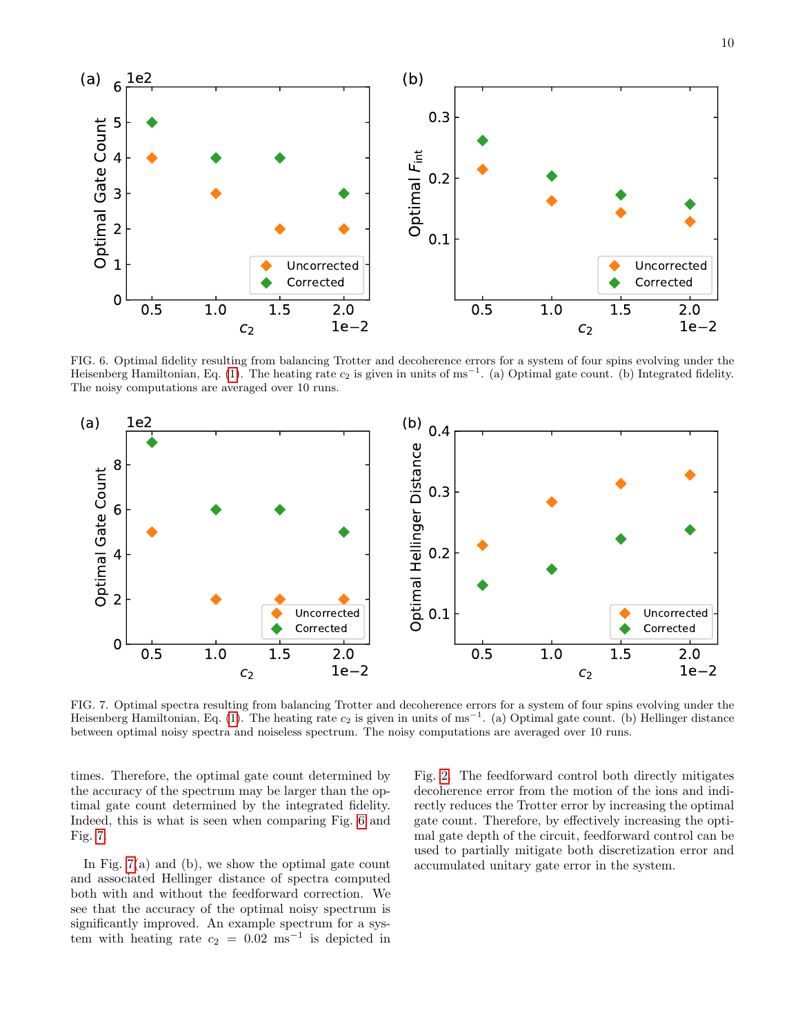

<span id="page-9-0"></span>FIG. 6. Optimal fidelity resulting from balancing Trotter and decoherence errors for a system of four spins evolving under the Heisenberg Hamiltonian, Eq. [\(1\)](#page-1-0). The heating rate  $c_2$  is given in units of ms<sup>-1</sup>. (a) Optimal gate count. (b) Integrated fidelity. The noisy computations are averaged over 10 runs.



<span id="page-9-1"></span>FIG. 7. Optimal spectra resulting from balancing Trotter and decoherence errors for a system of four spins evolving under the Heisenberg Hamiltonian, Eq. [\(1\)](#page-1-0). The heating rate  $c_2$  is given in units of ms<sup>-1</sup>. (a) Optimal gate count. (b) Hellinger distance between optimal noisy spectra and noiseless spectrum. The noisy computations are averaged over 10 runs.

times. Therefore, the optimal gate count determined by the accuracy of the spectrum may be larger than the optimal gate count determined by the integrated fidelity. Indeed, this is what is seen when comparing Fig. [6](#page-9-0) and Fig. [7.](#page-9-1)

In Fig. [7\(](#page-9-1)a) and (b), we show the optimal gate count and associated Hellinger distance of spectra computed both with and without the feedforward correction. We see that the accuracy of the optimal noisy spectrum is significantly improved. An example spectrum for a system with heating rate  $c_2 = 0.02$  ms<sup>-1</sup> is depicted in Fig. [2.](#page-2-2) The feedforward control both directly mitigates decoherence error from the motion of the ions and indirectly reduces the Trotter error by increasing the optimal gate count. Therefore, by effectively increasing the optimal gate depth of the circuit, feedforward control can be used to partially mitigate both discretization error and accumulated unitary gate error in the system.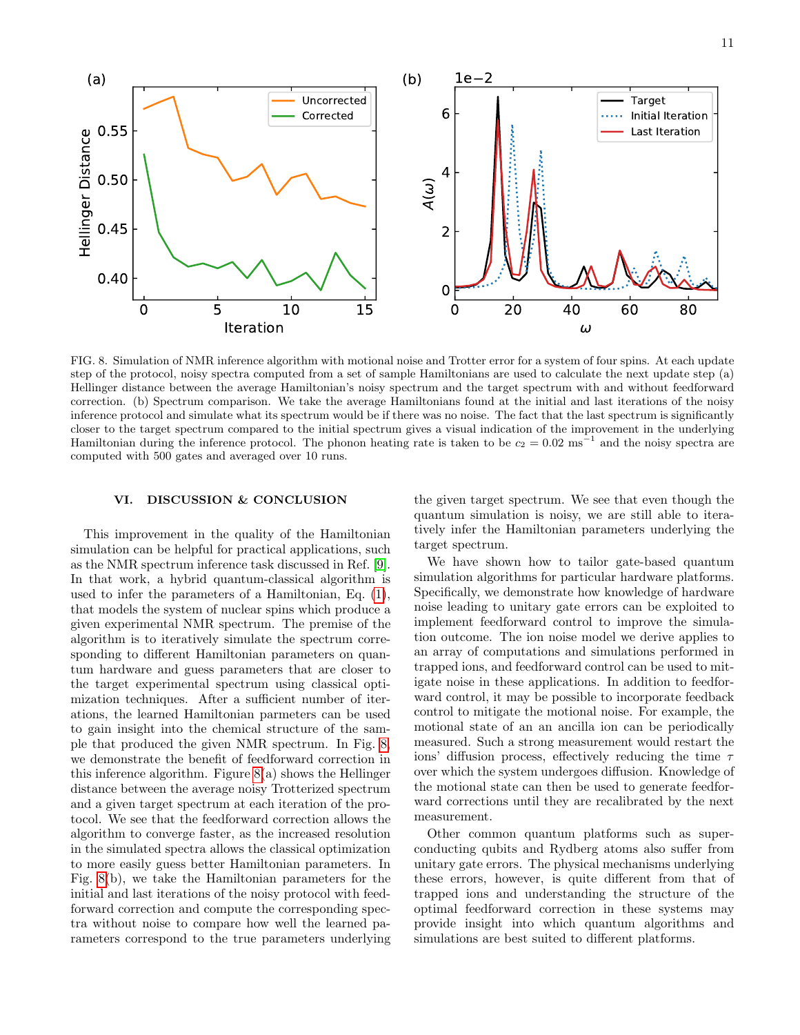

<span id="page-10-0"></span>FIG. 8. Simulation of NMR inference algorithm with motional noise and Trotter error for a system of four spins. At each update step of the protocol, noisy spectra computed from a set of sample Hamiltonians are used to calculate the next update step (a) Hellinger distance between the average Hamiltonian's noisy spectrum and the target spectrum with and without feedforward correction. (b) Spectrum comparison. We take the average Hamiltonians found at the initial and last iterations of the noisy inference protocol and simulate what its spectrum would be if there was no noise. The fact that the last spectrum is significantly closer to the target spectrum compared to the initial spectrum gives a visual indication of the improvement in the underlying Hamiltonian during the inference protocol. The phonon heating rate is taken to be  $c_2 = 0.02 \text{ ms}^{-1}$  and the noisy spectra are computed with 500 gates and averaged over 10 runs.

## VI. DISCUSSION & CONCLUSION

This improvement in the quality of the Hamiltonian simulation can be helpful for practical applications, such as the NMR spectrum inference task discussed in Ref. [\[9\]](#page-11-8). In that work, a hybrid quantum-classical algorithm is used to infer the parameters of a Hamiltonian, Eq. [\(1\)](#page-1-0), that models the system of nuclear spins which produce a given experimental NMR spectrum. The premise of the algorithm is to iteratively simulate the spectrum corresponding to different Hamiltonian parameters on quantum hardware and guess parameters that are closer to the target experimental spectrum using classical optimization techniques. After a sufficient number of iterations, the learned Hamiltonian parmeters can be used to gain insight into the chemical structure of the sample that produced the given NMR spectrum. In Fig. [8,](#page-10-0) we demonstrate the benefit of feedforward correction in this inference algorithm. Figure  $8(a)$  shows the Hellinger distance between the average noisy Trotterized spectrum and a given target spectrum at each iteration of the protocol. We see that the feedforward correction allows the algorithm to converge faster, as the increased resolution in the simulated spectra allows the classical optimization to more easily guess better Hamiltonian parameters. In Fig. [8\(](#page-10-0)b), we take the Hamiltonian parameters for the initial and last iterations of the noisy protocol with feedforward correction and compute the corresponding spectra without noise to compare how well the learned parameters correspond to the true parameters underlying

the given target spectrum. We see that even though the quantum simulation is noisy, we are still able to iteratively infer the Hamiltonian parameters underlying the target spectrum.

We have shown how to tailor gate-based quantum simulation algorithms for particular hardware platforms. Specifically, we demonstrate how knowledge of hardware noise leading to unitary gate errors can be exploited to implement feedforward control to improve the simulation outcome. The ion noise model we derive applies to an array of computations and simulations performed in trapped ions, and feedforward control can be used to mitigate noise in these applications. In addition to feedforward control, it may be possible to incorporate feedback control to mitigate the motional noise. For example, the motional state of an an ancilla ion can be periodically measured. Such a strong measurement would restart the ions' diffusion process, effectively reducing the time  $\tau$ over which the system undergoes diffusion. Knowledge of the motional state can then be used to generate feedforward corrections until they are recalibrated by the next measurement.

Other common quantum platforms such as superconducting qubits and Rydberg atoms also suffer from unitary gate errors. The physical mechanisms underlying these errors, however, is quite different from that of trapped ions and understanding the structure of the optimal feedforward correction in these systems may provide insight into which quantum algorithms and simulations are best suited to different platforms.